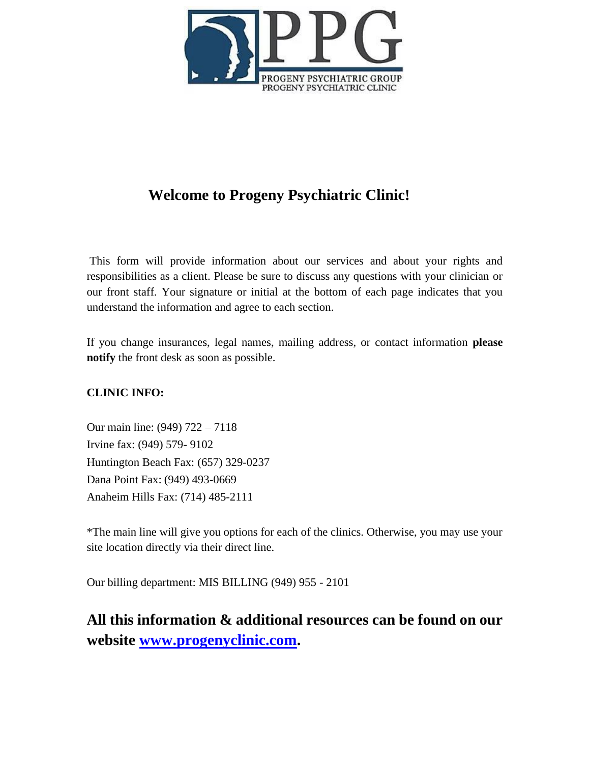

## **Welcome to Progeny Psychiatric Clinic!**

This form will provide information about our services and about your rights and responsibilities as a client. Please be sure to discuss any questions with your clinician or our front staff. Your signature or initial at the bottom of each page indicates that you understand the information and agree to each section.

If you change insurances, legal names, mailing address, or contact information **please notify** the front desk as soon as possible.

### **CLINIC INFO:**

Our main line: (949) 722 – 7118 Irvine fax: (949) 579- 9102 Huntington Beach Fax: (657) 329-0237 Dana Point Fax: (949) 493-0669 Anaheim Hills Fax: (714) 485-2111

\*The main line will give you options for each of the clinics. Otherwise, you may use your site location directly via their direct line.

Our billing department: MIS BILLING (949) 955 - 2101

## **All this information & additional resources can be found on our website [www.progenyclinic.com.](http://www.progenyclinic.com/)**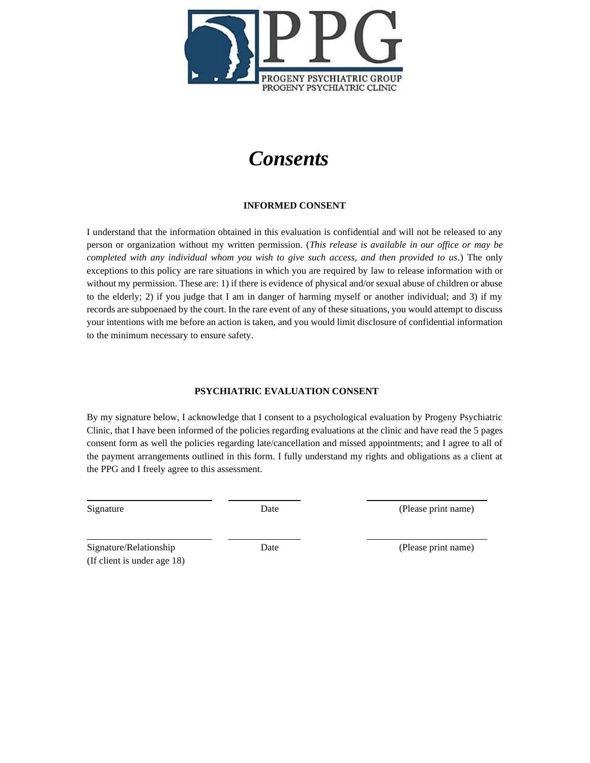

## *Consents*

#### **INFORMED CONSENT**

I understand that the information obtained in this evaluation is confidential and will not be released to any person or organization without my written permission. (*This release is available in our office or may be completed with any individual whom you wish to give such access, and then provided to us*.) The only exceptions to this policy are rare situations in which you are required by law to release information with or without my permission. These are: 1) if there is evidence of physical and/or sexual abuse of children or abuse to the elderly; 2) if you judge that I am in danger of harming myself or another individual; and 3) if my records are subpoenaed by the court. In the rare event of any of these situations, you would attempt to discuss your intentions with me before an action is taken, and you would limit disclosure of confidential information to the minimum necessary to ensure safety.

#### **PSYCHIATRIC EVALUATION CONSENT**

By my signature below, I acknowledge that I consent to a psychological evaluation by Progeny Psychiatric Clinic, that I have been informed of the policies regarding evaluations at the clinic and have read the 5 pages consent form as well the policies regarding late/cancellation and missed appointments; and I agree to all of the payment arrangements outlined in this form. I fully understand my rights and obligations as a client at the PPG and I freely agree to this assessment.

Signature Date Date (Please print name)

Signature/Relationship (If client is under age 18)

Date (Please print name)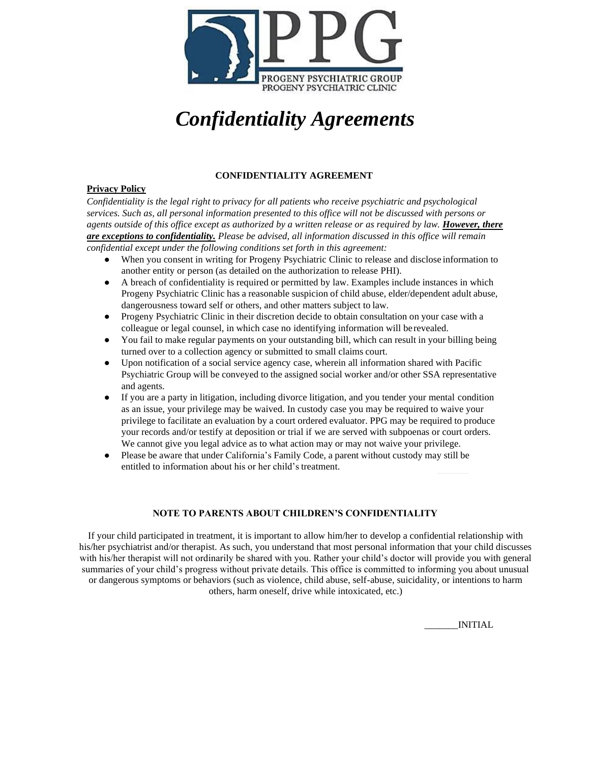

# *Confidentiality Agreements*

#### **CONFIDENTIALITY AGREEMENT**

#### **Privacy Policy**

*Confidentiality is the legal right to privacy for all patients who receive psychiatric and psychological services. Such as, all personal information presented to this office will not be discussed with persons or agents outside of this office except as authorized by a written release or as required by law. However, there are exceptions to confidentiality. Please be advised, all information discussed in this office will remain confidential except under the following conditions set forth in this agreement:*

- When you consent in writing for Progeny Psychiatric Clinic to release and disclose information to another entity or person (as detailed on the authorization to release PHI).
- *●* A breach of confidentiality is required or permitted by law. Examples include instances in which Progeny Psychiatric Clinic has a reasonable suspicion of child abuse, elder/dependent adult abuse, dangerousness toward self or others, and other matters subject to law.
- *●* Progeny Psychiatric Clinic in their discretion decide to obtain consultation on your case with a colleague or legal counsel, in which case no identifying information will be revealed.
- *●* You fail to make regular payments on your outstanding bill, which can result in your billing being turned over to a collection agency or submitted to small claims court.
- Upon notification of a social service agency case, wherein all information shared with Pacific Psychiatric Group will be conveyed to the assigned social worker and/or other SSA representative and agents.
- *●* If you are a party in litigation, including divorce litigation, and you tender your mental condition as an issue, your privilege may be waived. In custody case you may be required to waive your privilege to facilitate an evaluation by a court ordered evaluator. PPG may be required to produce your records and/or testify at deposition or trial if we are served with subpoenas or court orders. We cannot give you legal advice as to what action may or may not waive your privilege.
- *●* Please be aware that under California's Family Code, a parent without custody may still be entitled to information about his or her child's treatment.

#### **NOTE TO PARENTS ABOUT CHILDREN'S CONFIDENTIALITY**

If your child participated in treatment, it is important to allow him/her to develop a confidential relationship with his/her psychiatrist and/or therapist. As such, you understand that most personal information that your child discusses with his/her therapist will not ordinarily be shared with you. Rather your child's doctor will provide you with general summaries of your child's progress without private details. This office is committed to informing you about unusual or dangerous symptoms or behaviors (such as violence, child abuse, self-abuse, suicidality, or intentions to harm others, harm oneself, drive while intoxicated, etc.)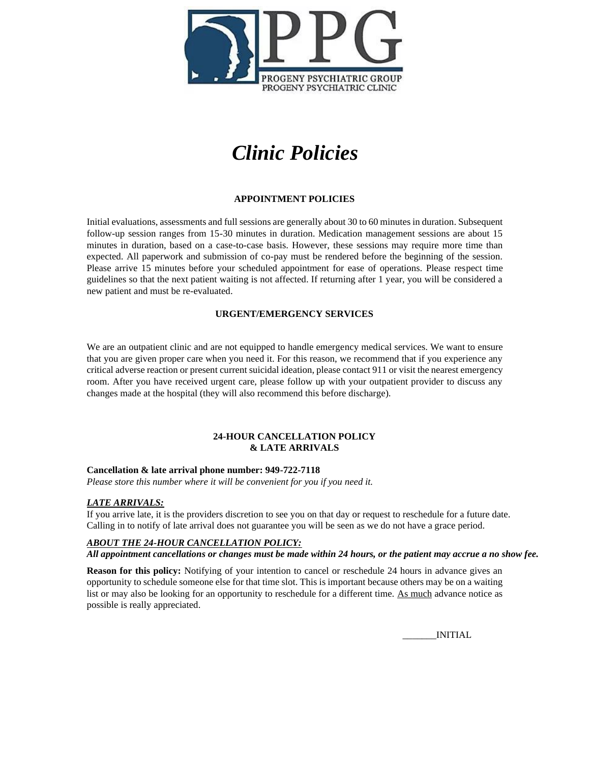

# *Clinic Policies*

#### **APPOINTMENT POLICIES**

Initial evaluations, assessments and full sessions are generally about 30 to 60 minutes in duration. Subsequent follow-up session ranges from 15-30 minutes in duration. Medication management sessions are about 15 minutes in duration, based on a case-to-case basis. However, these sessions may require more time than expected. All paperwork and submission of co-pay must be rendered before the beginning of the session. Please arrive 15 minutes before your scheduled appointment for ease of operations. Please respect time guidelines so that the next patient waiting is not affected. If returning after 1 year, you will be considered a new patient and must be re-evaluated.

#### **URGENT/EMERGENCY SERVICES**

We are an outpatient clinic and are not equipped to handle emergency medical services. We want to ensure that you are given proper care when you need it. For this reason, we recommend that if you experience any critical adverse reaction or present current suicidal ideation, please contact 911 or visit the nearest emergency room. After you have received urgent care, please follow up with your outpatient provider to discuss any changes made at the hospital (they will also recommend this before discharge).

#### **24-HOUR CANCELLATION POLICY & LATE ARRIVALS**

#### **Cancellation & late arrival phone number: 949-722-7118**

*Please store this number where it will be convenient for you if you need it.*

#### *LATE ARRIVALS:*

If you arrive late, it is the providers discretion to see you on that day or request to reschedule for a future date. Calling in to notify of late arrival does not guarantee you will be seen as we do not have a grace period.

#### *ABOUT THE 24-HOUR CANCELLATION POLICY:*

*All appointment cancellations or changes must be made within 24 hours, or the patient may accrue a no show fee.*

**Reason for this policy:** Notifying of your intention to cancel or reschedule 24 hours in advance gives an opportunity to schedule someone else for that time slot. This is important because others may be on a waiting list or may also be looking for an opportunity to reschedule for a different time. As much advance notice as possible is really appreciated.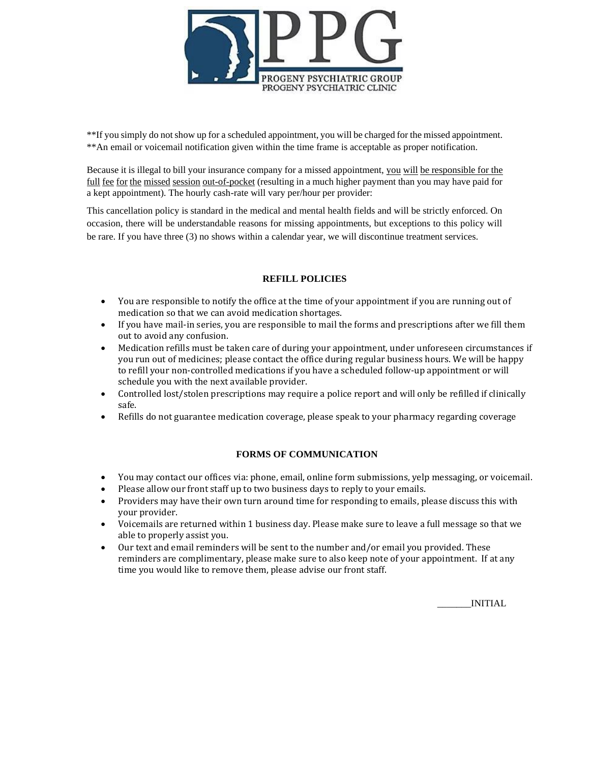

\*\*If you simply do not show up for a scheduled appointment, you will be charged for the missed appointment. \*\*An email or voicemail notification given within the time frame is acceptable as proper notification.

Because it is illegal to bill your insurance company for a missed appointment, you will be responsible for the full fee for the missed session out-of-pocket (resulting in a much higher payment than you may have paid for a kept appointment). The hourly cash-rate will vary per/hour per provider:

This cancellation policy is standard in the medical and mental health fields and will be strictly enforced. On occasion, there will be understandable reasons for missing appointments, but exceptions to this policy will be rare. If you have three (3) no shows within a calendar year, we will discontinue treatment services.

#### **REFILL POLICIES**

- You are responsible to notify the office at the time of your appointment if you are running out of medication so that we can avoid medication shortages.
- If you have mail-in series, you are responsible to mail the forms and prescriptions after we fill them out to avoid any confusion.
- Medication refills must be taken care of during your appointment, under unforeseen circumstances if you run out of medicines; please contact the office during regular business hours. We will be happy to refill your non-controlled medications if you have a scheduled follow-up appointment or will schedule you with the next available provider.
- Controlled lost/stolen prescriptions may require a police report and will only be refilled if clinically safe.
- Refills do not guarantee medication coverage, please speak to your pharmacy regarding coverage

#### **FORMS OF COMMUNICATION**

- You may contact our offices via: phone, email, online form submissions, yelp messaging, or voicemail.
- Please allow our front staff up to two business days to reply to your emails.
- Providers may have their own turn around time for responding to emails, please discuss this with your provider.
- Voicemails are returned within 1 business day. Please make sure to leave a full message so that we able to properly assist you.
- Our text and email reminders will be sent to the number and/or email you provided. These reminders are complimentary, please make sure to also keep note of your appointment. If at any time you would like to remove them, please advise our front staff.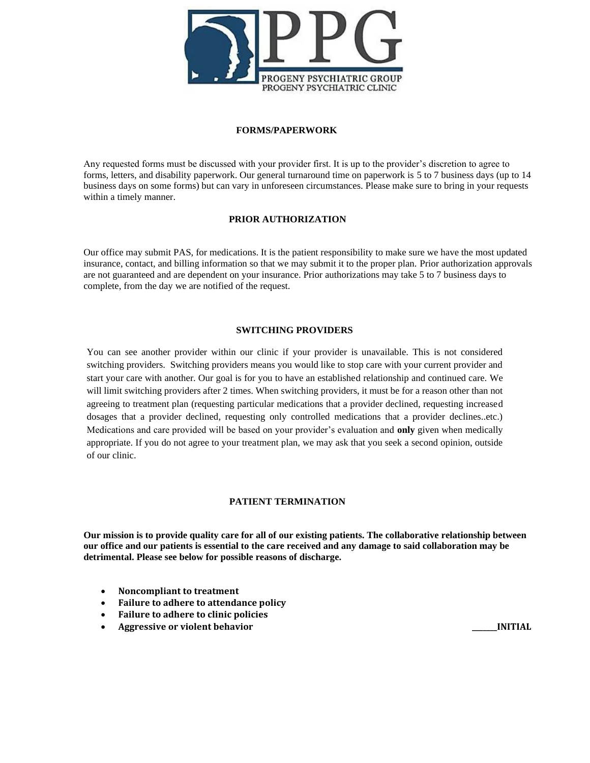

#### **FORMS/PAPERWORK**

Any requested forms must be discussed with your provider first. It is up to the provider's discretion to agree to forms, letters, and disability paperwork. Our general turnaround time on paperwork is 5 to 7 business days (up to 14 business days on some forms) but can vary in unforeseen circumstances. Please make sure to bring in your requests within a timely manner.

#### **PRIOR AUTHORIZATION**

Our office may submit PAS, for medications. It is the patient responsibility to make sure we have the most updated insurance, contact, and billing information so that we may submit it to the proper plan. Prior authorization approvals are not guaranteed and are dependent on your insurance. Prior authorizations may take 5 to 7 business days to complete, from the day we are notified of the request.

#### **SWITCHING PROVIDERS**

You can see another provider within our clinic if your provider is unavailable. This is not considered switching providers. Switching providers means you would like to stop care with your current provider and start your care with another. Our goal is for you to have an established relationship and continued care. We will limit switching providers after 2 times. When switching providers, it must be for a reason other than not agreeing to treatment plan (requesting particular medications that a provider declined, requesting increased dosages that a provider declined, requesting only controlled medications that a provider declines..etc.) Medications and care provided will be based on your provider's evaluation and **only** given when medically appropriate. If you do not agree to your treatment plan, we may ask that you seek a second opinion, outside of our clinic.

#### **PATIENT TERMINATION**

**Our mission is to provide quality care for all of our existing patients. The collaborative relationship between our office and our patients is essential to the care received and any damage to said collaboration may be detrimental. Please see below for possible reasons of discharge.** 

- **Noncompliant to treatment**
- **Failure to adhere to attendance policy**
- **Failure to adhere to clinic policies**
- **Aggressive or violent behavior with a set of the set of the set of the set of the set of the set of the set of the set of the set of the set of the set of the set of the set of the set of the set of the set of the set o**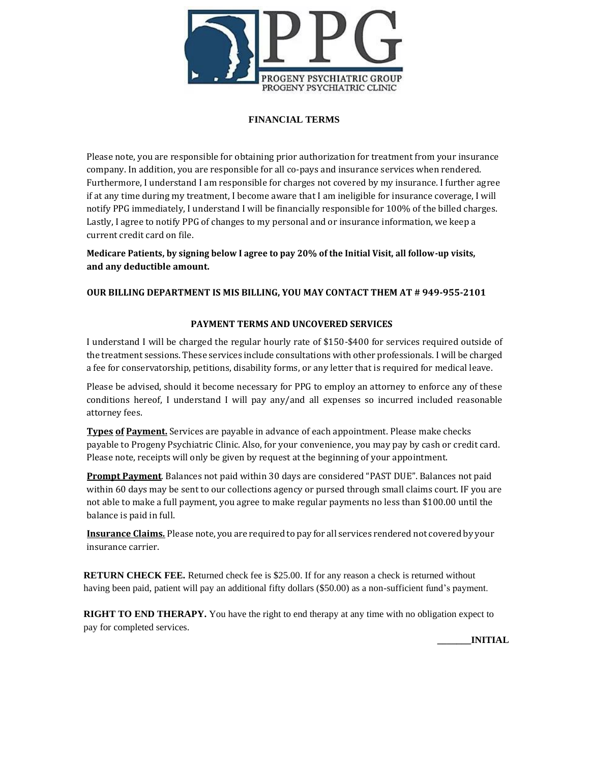

#### **FINANCIAL TERMS**

Please note, you are responsible for obtaining prior authorization for treatment from your insurance company. In addition, you are responsible for all co-pays and insurance services when rendered. Furthermore, I understand I am responsible for charges not covered by my insurance. I further agree if at any time during my treatment, I become aware that I am ineligible for insurance coverage, I will notify PPG immediately, I understand I will be financially responsible for 100% of the billed charges. Lastly, I agree to notify PPG of changes to my personal and or insurance information, we keep a current credit card on file.

**Medicare Patients, by signing below I agree to pay 20% of the Initial Visit, all follow-up visits, and any deductible amount.**

#### **OUR BILLING DEPARTMENT IS MIS BILLING, YOU MAY CONTACT THEM AT # 949-955-2101**

#### **PAYMENT TERMS AND UNCOVERED SERVICES**

I understand I will be charged the regular hourly rate of \$150-\$400 for services required outside of the treatment sessions. These services include consultations with other professionals. I will be charged a fee for conservatorship, petitions, disability forms, or any letter that is required for medical leave.

Please be advised, should it become necessary for PPG to employ an attorney to enforce any of these conditions hereof, I understand I will pay any/and all expenses so incurred included reasonable attorney fees.

**Types of Payment.** Services are payable in advance of each appointment. Please make checks payable to Progeny Psychiatric Clinic. Also, for your convenience, you may pay by cash or credit card. Please note, receipts will only be given by request at the beginning of your appointment.

**Prompt Payment**. Balances not paid within 30 days are considered "PAST DUE". Balances not paid within 60 days may be sent to our collections agency or pursed through small claims court. IF you are not able to make a full payment, you agree to make regular payments no less than \$100.00 until the balance is paid in full.

**Insurance Claims.** Please note, you are required to pay for all services rendered not covered by your insurance carrier.

**RETURN CHECK FEE.** Returned check fee is \$25.00. If for any reason a check is returned without having been paid, patient will pay an additional fifty dollars (\$50.00) as a non-sufficient fund's payment.

**RIGHT TO END THERAPY.** You have the right to end therapy at any time with no obligation expect to pay for completed services.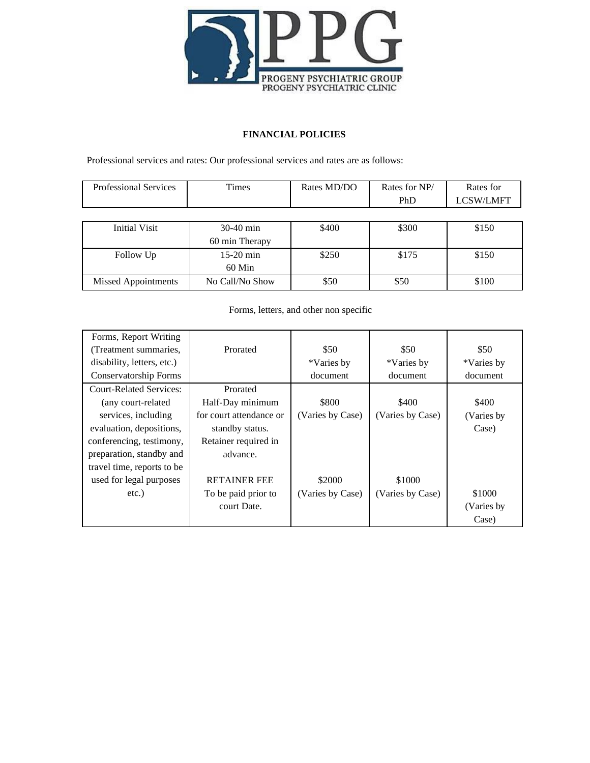

#### **FINANCIAL POLICIES**

Professional services and rates: Our professional services and rates are as follows:

| <b>Professional Services</b> | Times           | Rates MD/DO | Rates for NP/<br>PhD | Rates for<br><b>LCSW/LMFT</b> |
|------------------------------|-----------------|-------------|----------------------|-------------------------------|
|                              |                 |             |                      |                               |
| <b>Initial Visit</b>         | $30-40$ min     | \$400       | \$300                | \$150                         |
|                              | 60 min Therapy  |             |                      |                               |
| Follow Up                    | $15-20$ min     | \$250       | \$175                | \$150                         |
|                              | $60$ Min        |             |                      |                               |
| Missed Appointments          | No Call/No Show | \$50        | \$50                 | \$100                         |

|  |  | Forms, letters, and other non specific |
|--|--|----------------------------------------|
|  |  |                                        |

| Forms, Report Writing          |                         |                                      |                  |             |
|--------------------------------|-------------------------|--------------------------------------|------------------|-------------|
| (Treatment summaries,          | Prorated                | \$50                                 | \$50             | \$50        |
| disability, letters, etc.)     |                         | *Varies by                           | *Varies by       | *Varies by  |
| Conservatorship Forms          |                         | document                             | document         | document    |
| <b>Court-Related Services:</b> | Prorated                |                                      |                  |             |
| (any court-related)            | Half-Day minimum        | \$800                                | \$400            | \$400       |
| services, including            | for court attendance or | (Varies by Case)<br>(Varies by Case) |                  | (Varies by  |
| evaluation, depositions,       | standby status.         |                                      |                  | Case)       |
| conferencing, testimony,       | Retainer required in    |                                      |                  |             |
| preparation, standby and       | advance.                |                                      |                  |             |
| travel time, reports to be     |                         |                                      |                  |             |
| used for legal purposes        | <b>RETAINER FEE</b>     | \$2000                               | \$1000           |             |
| etc.)                          | To be paid prior to     | (Varies by Case)                     | (Varies by Case) | \$1000      |
|                                | court Date.             |                                      |                  | (Varies by) |
|                                |                         |                                      |                  | Case)       |